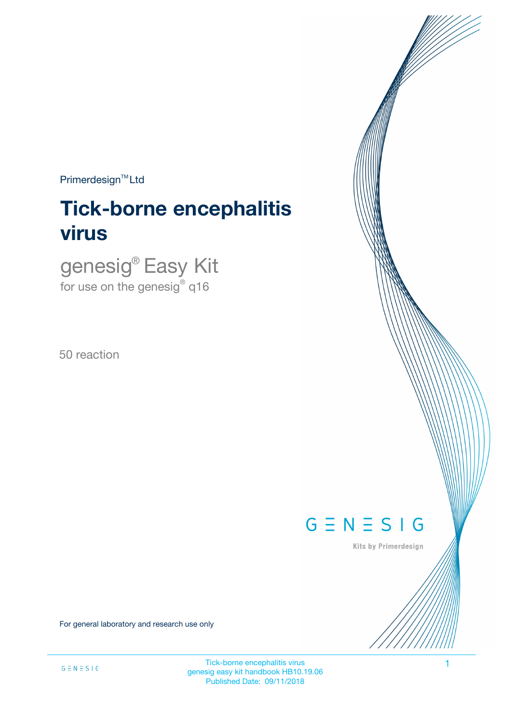$Primerdesign^{\text{TM}}$ Ltd

# **Tick-borne encephalitis virus**

genesig® Easy Kit for use on the genesig $^\circ$  q16

50 reaction



Kits by Primerdesign

For general laboratory and research use only

Tick-borne encephalitis virus 1 genesig easy kit handbook HB10.19.06 Published Date: 09/11/2018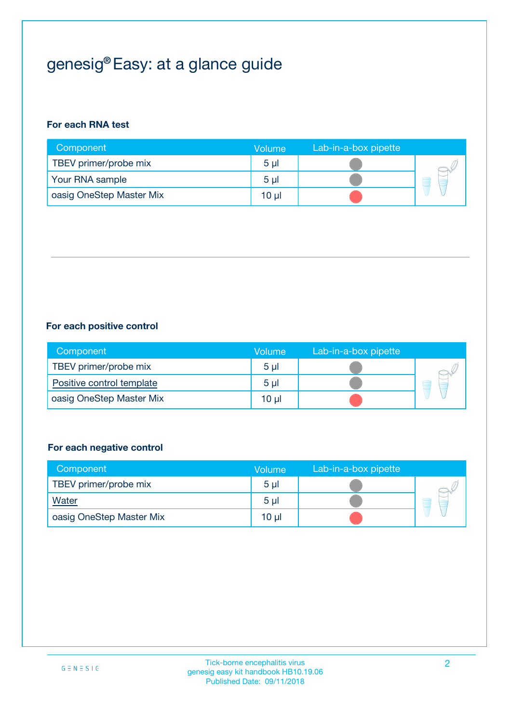# genesig® Easy: at a glance guide

#### **For each RNA test**

| Component                | <b>Volume</b>  | Lab-in-a-box pipette |  |
|--------------------------|----------------|----------------------|--|
| TBEV primer/probe mix    | 5 <sub>µ</sub> |                      |  |
| Your RNA sample          | 5 <sub>µ</sub> |                      |  |
| oasig OneStep Master Mix | 10 µl          |                      |  |

#### **For each positive control**

| Component                 | Volume         | Lab-in-a-box pipette |  |
|---------------------------|----------------|----------------------|--|
| TBEV primer/probe mix     | 5 <sub>µ</sub> |                      |  |
| Positive control template | 5 <sub>µ</sub> |                      |  |
| oasig OneStep Master Mix  | 10 µl          |                      |  |

#### **For each negative control**

| Component                | Volume         | Lab-in-a-box pipette |   |
|--------------------------|----------------|----------------------|---|
| TBEV primer/probe mix    | 5 <sub>µ</sub> |                      |   |
| Water                    | 5 <sub>µ</sub> |                      | - |
| oasig OneStep Master Mix | 10 µl          |                      |   |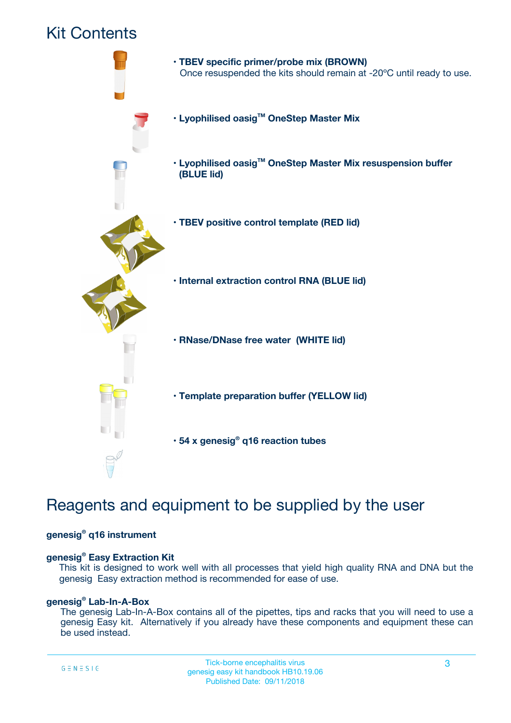## Kit Contents



# Reagents and equipment to be supplied by the user

#### **genesig® q16 instrument**

#### **genesig® Easy Extraction Kit**

This kit is designed to work well with all processes that yield high quality RNA and DNA but the genesig Easy extraction method is recommended for ease of use.

#### **genesig® Lab-In-A-Box**

The genesig Lab-In-A-Box contains all of the pipettes, tips and racks that you will need to use a genesig Easy kit. Alternatively if you already have these components and equipment these can be used instead.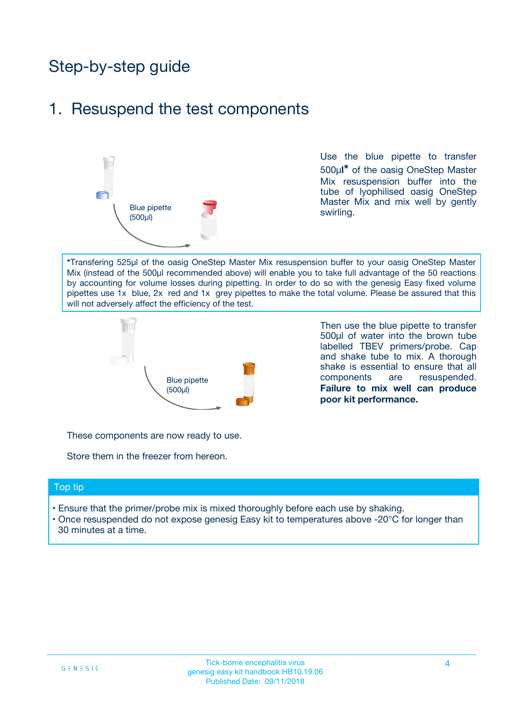# Step-by-step guide

### 1. Resuspend the test components



Use the blue pipette to transfer 500µ**l\*** of the oasig OneStep Master Mix resuspension buffer into the tube of lyophilised oasig OneStep Master Mix and mix well by gently swirling.

**\***Transfering 525µl of the oasig OneStep Master Mix resuspension buffer to your oasig OneStep Master Mix (instead of the 500µl recommended above) will enable you to take full advantage of the 50 reactions by accounting for volume losses during pipetting. In order to do so with the genesig Easy fixed volume pipettes use 1x blue, 2x red and 1x grey pipettes to make the total volume. Please be assured that this will not adversely affect the efficiency of the test.



Then use the blue pipette to transfer 500µl of water into the brown tube labelled TBEV primers/probe. Cap and shake tube to mix. A thorough shake is essential to ensure that all components are resuspended. **Failure to mix well can produce poor kit performance.**

These components are now ready to use.

Store them in the freezer from hereon.

#### Top tip

- Ensure that the primer/probe mix is mixed thoroughly before each use by shaking.
- Once resuspended do not expose genesig Easy kit to temperatures above -20°C for longer than 30 minutes at a time.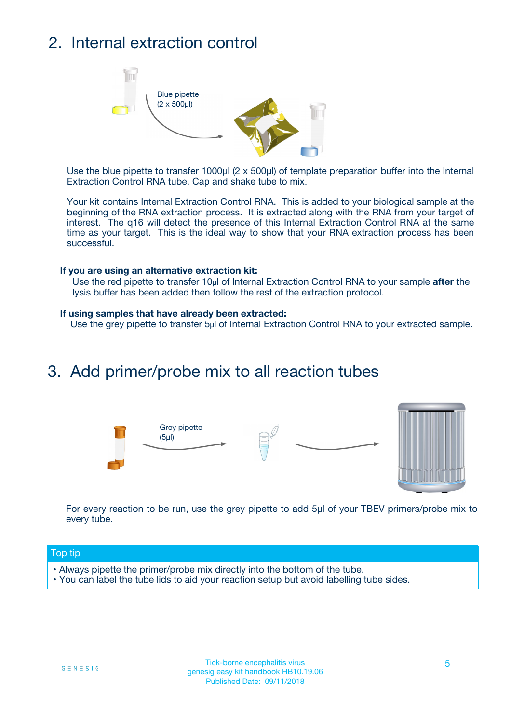# 2. Internal extraction control



Use the blue pipette to transfer 1000µl (2 x 500µl) of template preparation buffer into the Internal Extraction Control RNA tube. Cap and shake tube to mix.

Your kit contains Internal Extraction Control RNA. This is added to your biological sample at the beginning of the RNA extraction process. It is extracted along with the RNA from your target of interest. The q16 will detect the presence of this Internal Extraction Control RNA at the same time as your target. This is the ideal way to show that your RNA extraction process has been successful.

#### **If you are using an alternative extraction kit:**

Use the red pipette to transfer 10µl of Internal Extraction Control RNA to your sample **after** the lysis buffer has been added then follow the rest of the extraction protocol.

#### **If using samples that have already been extracted:**

Use the grey pipette to transfer 5µl of Internal Extraction Control RNA to your extracted sample.

### 3. Add primer/probe mix to all reaction tubes





For every reaction to be run, use the grey pipette to add 5µl of your TBEV primers/probe mix to every tube.

#### Top tip

- Always pipette the primer/probe mix directly into the bottom of the tube.
- You can label the tube lids to aid your reaction setup but avoid labelling tube sides.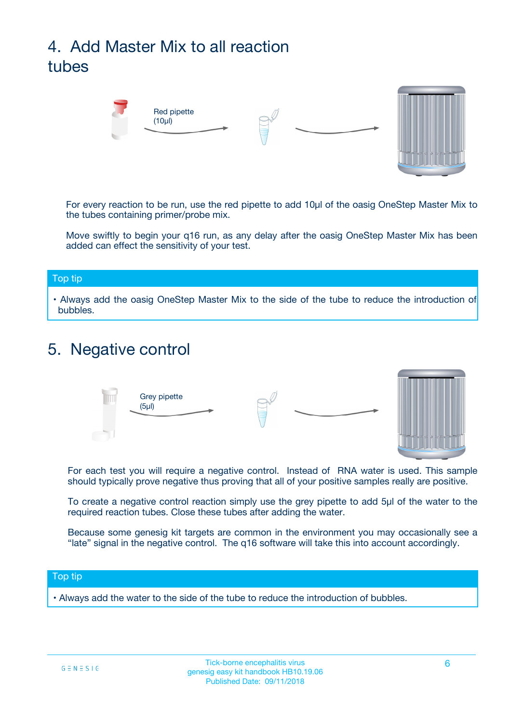# 4. Add Master Mix to all reaction tubes



For every reaction to be run, use the red pipette to add 10µl of the oasig OneStep Master Mix to the tubes containing primer/probe mix.

Move swiftly to begin your q16 run, as any delay after the oasig OneStep Master Mix has been added can effect the sensitivity of your test.

#### Top tip

**•** Always add the oasig OneStep Master Mix to the side of the tube to reduce the introduction of bubbles.

### 5. Negative control



For each test you will require a negative control. Instead of RNA water is used. This sample should typically prove negative thus proving that all of your positive samples really are positive.

To create a negative control reaction simply use the grey pipette to add 5µl of the water to the required reaction tubes. Close these tubes after adding the water.

Because some genesig kit targets are common in the environment you may occasionally see a "late" signal in the negative control. The q16 software will take this into account accordingly.

#### Top tip

**•** Always add the water to the side of the tube to reduce the introduction of bubbles.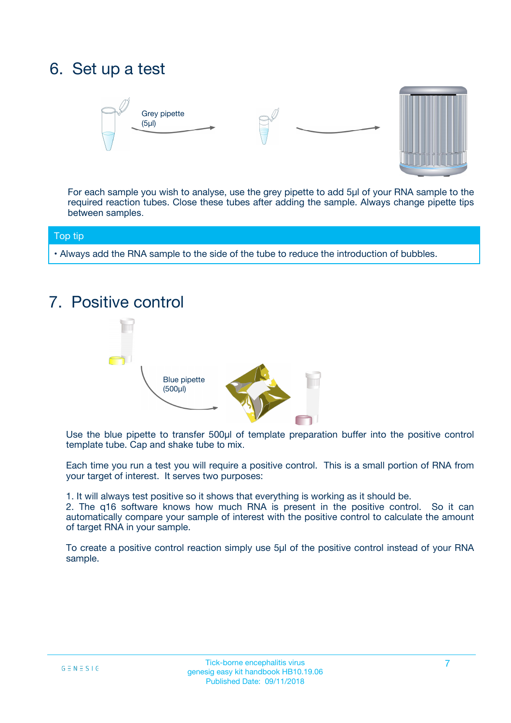# 6. Set up a test





For each sample you wish to analyse, use the grey pipette to add 5µl of your RNA sample to the required reaction tubes. Close these tubes after adding the sample. Always change pipette tips between samples.

#### Top tip

**•** Always add the RNA sample to the side of the tube to reduce the introduction of bubbles.

# 7. Positive control



Use the blue pipette to transfer 500µl of template preparation buffer into the positive control template tube. Cap and shake tube to mix.

Each time you run a test you will require a positive control. This is a small portion of RNA from your target of interest. It serves two purposes:

1. It will always test positive so it shows that everything is working as it should be.

2. The q16 software knows how much RNA is present in the positive control. So it can automatically compare your sample of interest with the positive control to calculate the amount of target RNA in your sample.

To create a positive control reaction simply use 5µl of the positive control instead of your RNA sample.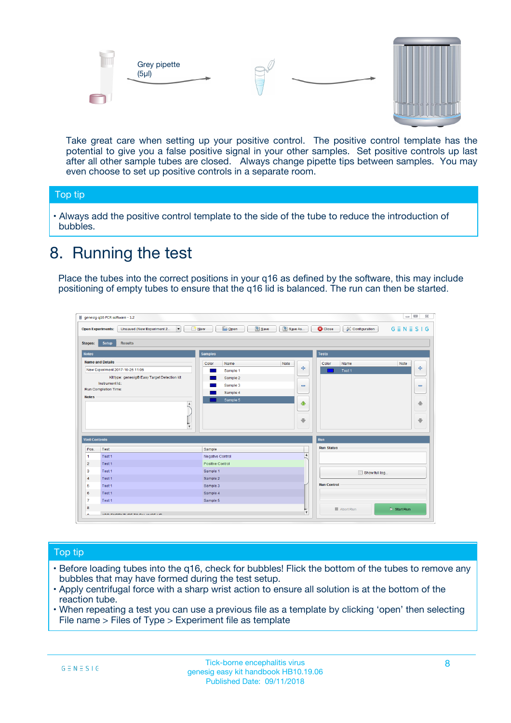



Take great care when setting up your positive control. The positive control template has the potential to give you a false positive signal in your other samples. Set positive controls up last after all other sample tubes are closed. Always change pipette tips between samples. You may even choose to set up positive controls in a separate room.

#### Top tip

**•** Always add the positive control template to the side of the tube to reduce the introduction of bubbles.

# 8. Running the test

Place the tubes into the correct positions in your q16 as defined by the software, this may include positioning of empty tubes to ensure that the q16 lid is balanced. The run can then be started.

|                      | genesig q16 PCR software - 1.2                                                    |                                            |                         |                                 | $= 0$<br>$\Sigma\!3$         |
|----------------------|-----------------------------------------------------------------------------------|--------------------------------------------|-------------------------|---------------------------------|------------------------------|
|                      | Unsaved (New Experiment 2<br>$\overline{\phantom{a}}$<br><b>Open Experiments:</b> | <b>E</b> Open<br><b>Save</b><br>$\Box$ New | Save As                 | <b>C</b> Close<br>Configuration | $G \equiv N \equiv S \mid G$ |
| <b>Stages:</b>       | Setup<br><b>Results</b>                                                           |                                            |                         |                                 |                              |
| <b>Notes</b>         |                                                                                   | <b>Samples</b>                             |                         | <b>Tests</b>                    |                              |
|                      | <b>Name and Details</b>                                                           | Color<br>Name                              | Note                    | Color<br>Name                   | Note                         |
|                      | New Experiment 2017-10-26 11:06                                                   | Sample 1                                   | 4                       | Test 1                          | 4                            |
|                      | Kit type: genesig® Easy Target Detection kit                                      | Sample 2                                   |                         |                                 |                              |
|                      | Instrument Id.:                                                                   | Sample 3                                   | $\equiv$                |                                 | $\equiv$                     |
|                      | <b>Run Completion Time:</b>                                                       | Sample 4                                   |                         |                                 |                              |
| <b>Notes</b>         | $\blacktriangle$                                                                  | Sample 5                                   | ♦                       |                                 | 傦                            |
|                      | $\overline{\mathbf{v}}$                                                           |                                            | ÷                       |                                 | ⊕                            |
| <b>Well Contents</b> |                                                                                   |                                            |                         | Run                             |                              |
| Pos.                 | Test                                                                              | Sample                                     |                         | <b>Run Status</b>               |                              |
| $\blacktriangleleft$ | Test 1                                                                            | Negative Control                           | $\blacktriangle$        |                                 |                              |
| $\overline{2}$       | Test 1                                                                            | Positive Control                           |                         |                                 |                              |
| 3                    | Test 1                                                                            | Sample 1                                   |                         | Show full log                   |                              |
| $\overline{4}$       | Test 1                                                                            | Sample 2                                   |                         |                                 |                              |
| 5                    | Test 1                                                                            | Sample 3                                   |                         | <b>Run Control</b>              |                              |
| 6                    | Test 1                                                                            | Sample 4                                   |                         |                                 |                              |
| $\overline{7}$       | Test 1                                                                            | Sample 5                                   |                         |                                 |                              |
| 8                    |                                                                                   |                                            |                         | Abort Run                       | $\triangleright$ Start Run   |
| Lo.                  | <b>INN FURTY TURE TO BUILDING UP.</b>                                             |                                            | $\overline{\mathbf{v}}$ |                                 |                              |

#### Top tip

- Before loading tubes into the q16, check for bubbles! Flick the bottom of the tubes to remove any bubbles that may have formed during the test setup.
- Apply centrifugal force with a sharp wrist action to ensure all solution is at the bottom of the reaction tube.
- When repeating a test you can use a previous file as a template by clicking 'open' then selecting File name > Files of Type > Experiment file as template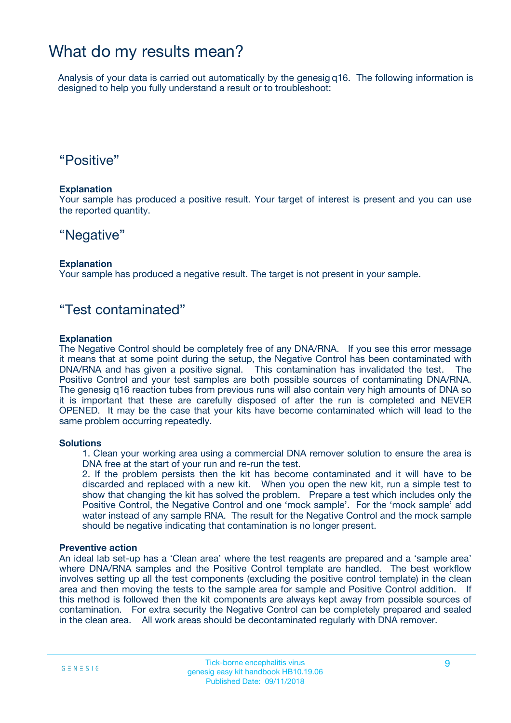### What do my results mean?

Analysis of your data is carried out automatically by the genesig q16. The following information is designed to help you fully understand a result or to troubleshoot:

### "Positive"

#### **Explanation**

Your sample has produced a positive result. Your target of interest is present and you can use the reported quantity.

### "Negative"

#### **Explanation**

Your sample has produced a negative result. The target is not present in your sample.

### "Test contaminated"

#### **Explanation**

The Negative Control should be completely free of any DNA/RNA. If you see this error message it means that at some point during the setup, the Negative Control has been contaminated with DNA/RNA and has given a positive signal. This contamination has invalidated the test. The Positive Control and your test samples are both possible sources of contaminating DNA/RNA. The genesig q16 reaction tubes from previous runs will also contain very high amounts of DNA so it is important that these are carefully disposed of after the run is completed and NEVER OPENED. It may be the case that your kits have become contaminated which will lead to the same problem occurring repeatedly.

#### **Solutions**

1. Clean your working area using a commercial DNA remover solution to ensure the area is DNA free at the start of your run and re-run the test.

2. If the problem persists then the kit has become contaminated and it will have to be discarded and replaced with a new kit. When you open the new kit, run a simple test to show that changing the kit has solved the problem. Prepare a test which includes only the Positive Control, the Negative Control and one 'mock sample'. For the 'mock sample' add water instead of any sample RNA. The result for the Negative Control and the mock sample should be negative indicating that contamination is no longer present.

#### **Preventive action**

An ideal lab set-up has a 'Clean area' where the test reagents are prepared and a 'sample area' where DNA/RNA samples and the Positive Control template are handled. The best workflow involves setting up all the test components (excluding the positive control template) in the clean area and then moving the tests to the sample area for sample and Positive Control addition. If this method is followed then the kit components are always kept away from possible sources of contamination. For extra security the Negative Control can be completely prepared and sealed in the clean area. All work areas should be decontaminated regularly with DNA remover.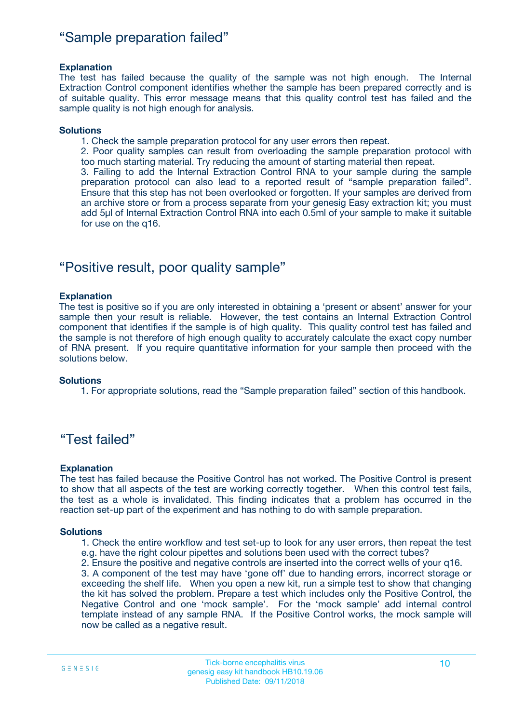### "Sample preparation failed"

#### **Explanation**

The test has failed because the quality of the sample was not high enough. The Internal Extraction Control component identifies whether the sample has been prepared correctly and is of suitable quality. This error message means that this quality control test has failed and the sample quality is not high enough for analysis.

#### **Solutions**

1. Check the sample preparation protocol for any user errors then repeat.

2. Poor quality samples can result from overloading the sample preparation protocol with too much starting material. Try reducing the amount of starting material then repeat.

3. Failing to add the Internal Extraction Control RNA to your sample during the sample preparation protocol can also lead to a reported result of "sample preparation failed". Ensure that this step has not been overlooked or forgotten. If your samples are derived from an archive store or from a process separate from your genesig Easy extraction kit; you must add 5µl of Internal Extraction Control RNA into each 0.5ml of your sample to make it suitable for use on the q16.

### "Positive result, poor quality sample"

#### **Explanation**

The test is positive so if you are only interested in obtaining a 'present or absent' answer for your sample then your result is reliable. However, the test contains an Internal Extraction Control component that identifies if the sample is of high quality. This quality control test has failed and the sample is not therefore of high enough quality to accurately calculate the exact copy number of RNA present. If you require quantitative information for your sample then proceed with the solutions below.

#### **Solutions**

1. For appropriate solutions, read the "Sample preparation failed" section of this handbook.

### "Test failed"

#### **Explanation**

The test has failed because the Positive Control has not worked. The Positive Control is present to show that all aspects of the test are working correctly together. When this control test fails, the test as a whole is invalidated. This finding indicates that a problem has occurred in the reaction set-up part of the experiment and has nothing to do with sample preparation.

#### **Solutions**

- 1. Check the entire workflow and test set-up to look for any user errors, then repeat the test e.g. have the right colour pipettes and solutions been used with the correct tubes?
- 2. Ensure the positive and negative controls are inserted into the correct wells of your q16.

3. A component of the test may have 'gone off' due to handing errors, incorrect storage or exceeding the shelf life. When you open a new kit, run a simple test to show that changing the kit has solved the problem. Prepare a test which includes only the Positive Control, the Negative Control and one 'mock sample'. For the 'mock sample' add internal control template instead of any sample RNA. If the Positive Control works, the mock sample will now be called as a negative result.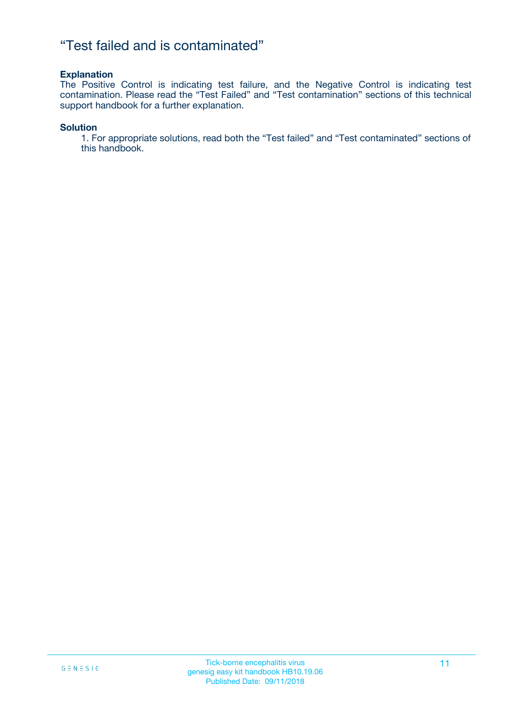### "Test failed and is contaminated"

#### **Explanation**

The Positive Control is indicating test failure, and the Negative Control is indicating test contamination. Please read the "Test Failed" and "Test contamination" sections of this technical support handbook for a further explanation.

#### **Solution**

1. For appropriate solutions, read both the "Test failed" and "Test contaminated" sections of this handbook.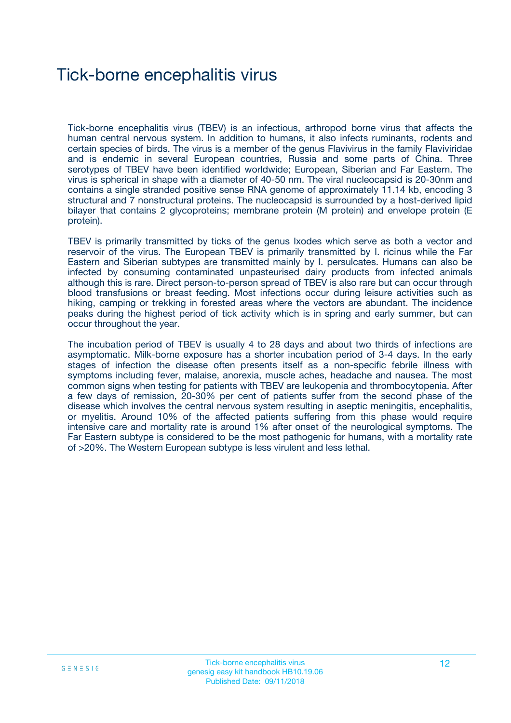# Tick-borne encephalitis virus

Tick-borne encephalitis virus (TBEV) is an infectious, arthropod borne virus that affects the human central nervous system. In addition to humans, it also infects ruminants, rodents and certain species of birds. The virus is a member of the genus Flavivirus in the family Flaviviridae and is endemic in several European countries, Russia and some parts of China. Three serotypes of TBEV have been identified worldwide; European, Siberian and Far Eastern. The virus is spherical in shape with a diameter of 40-50 nm. The viral nucleocapsid is 20-30nm and contains a single stranded positive sense RNA genome of approximately 11.14 kb, encoding 3 structural and 7 nonstructural proteins. The nucleocapsid is surrounded by a host-derived lipid bilayer that contains 2 glycoproteins; membrane protein (M protein) and envelope protein (E protein).

TBEV is primarily transmitted by ticks of the genus Ixodes which serve as both a vector and reservoir of the virus. The European TBEV is primarily transmitted by I. ricinus while the Far Eastern and Siberian subtypes are transmitted mainly by I. persulcates. Humans can also be infected by consuming contaminated unpasteurised dairy products from infected animals although this is rare. Direct person-to-person spread of TBEV is also rare but can occur through blood transfusions or breast feeding. Most infections occur during leisure activities such as hiking, camping or trekking in forested areas where the vectors are abundant. The incidence peaks during the highest period of tick activity which is in spring and early summer, but can occur throughout the year.

The incubation period of TBEV is usually 4 to 28 days and about two thirds of infections are asymptomatic. Milk-borne exposure has a shorter incubation period of 3-4 days. In the early stages of infection the disease often presents itself as a non-specific febrile illness with symptoms including fever, malaise, anorexia, muscle aches, headache and nausea. The most common signs when testing for patients with TBEV are leukopenia and thrombocytopenia. After a few days of remission, 20-30% per cent of patients suffer from the second phase of the disease which involves the central nervous system resulting in aseptic meningitis, encephalitis, or myelitis. Around 10% of the affected patients suffering from this phase would require intensive care and mortality rate is around 1% after onset of the neurological symptoms. The Far Eastern subtype is considered to be the most pathogenic for humans, with a mortality rate of >20%. The Western European subtype is less virulent and less lethal.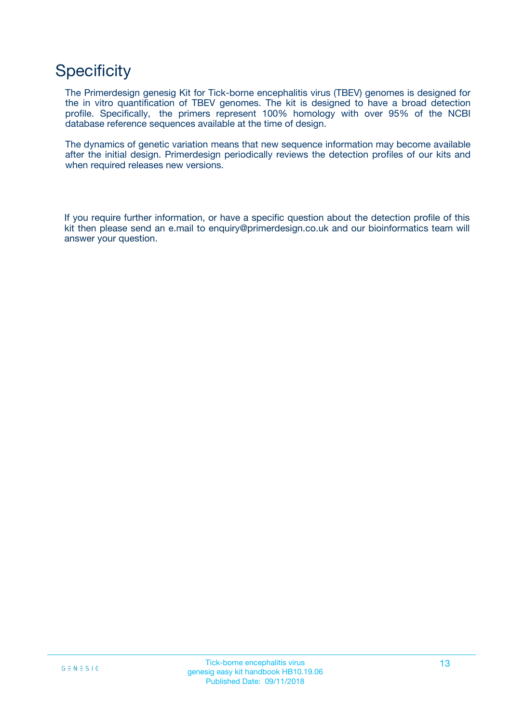# **Specificity**

The Primerdesign genesig Kit for Tick-borne encephalitis virus (TBEV) genomes is designed for the in vitro quantification of TBEV genomes. The kit is designed to have a broad detection profile. Specifically, the primers represent 100% homology with over 95% of the NCBI database reference sequences available at the time of design.

The dynamics of genetic variation means that new sequence information may become available after the initial design. Primerdesign periodically reviews the detection profiles of our kits and when required releases new versions.

If you require further information, or have a specific question about the detection profile of this kit then please send an e.mail to enquiry@primerdesign.co.uk and our bioinformatics team will answer your question.